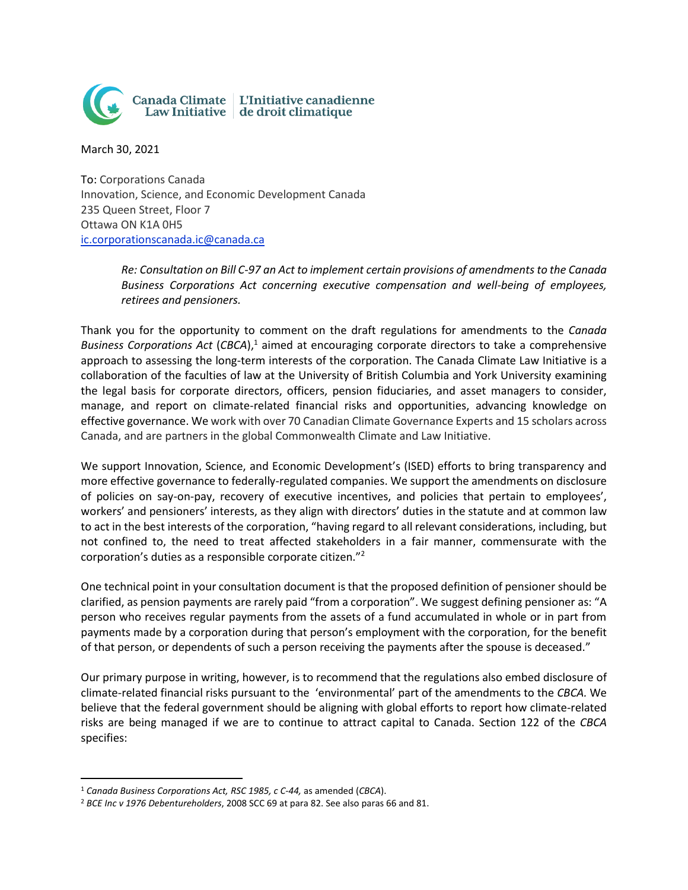

March 30, 2021

To: Corporations Canada Innovation, Science, and Economic Development Canada 235 Queen Street, Floor 7 Ottawa ON K1A 0H5 [ic.corporationscanada.ic@canada.ca](mailto:ic.corporationscanada.ic@canada.ca)

> *Re: Consultation on Bill C-97 an Act to implement certain provisions of amendments to the Canada Business Corporations Act concerning executive compensation and well-being of employees, retirees and pensioners.*

Thank you for the opportunity to comment on the draft regulations for amendments to the *Canada Business Corporations Act* (*CBCA*), <sup>1</sup> aimed at encouraging corporate directors to take a comprehensive approach to assessing the long-term interests of the corporation. The Canada Climate Law Initiative is a collaboration of the faculties of law at the University of British Columbia and York University examining the legal basis for corporate directors, officers, pension fiduciaries, and asset managers to consider, manage, and report on climate-related financial risks and opportunities, advancing knowledge on effective governance. We work with over 70 Canadian Climate Governance Experts and 15 scholars across Canada, and are partners in the global Commonwealth Climate and Law Initiative.

We support Innovation, Science, and Economic Development's (ISED) efforts to bring transparency and more effective governance to federally-regulated companies. We support the amendments on disclosure of policies on say-on-pay, recovery of executive incentives, and policies that pertain to employees', workers' and pensioners' interests, as they align with directors' duties in the statute and at common law to act in the best interests of the corporation, "having regard to all relevant considerations, including, but not confined to, the need to treat affected stakeholders in a fair manner, commensurate with the corporation's duties as a responsible corporate citizen."<sup>2</sup>

One technical point in your consultation document is that the proposed definition of pensioner should be clarified, as pension payments are rarely paid "from a corporation". We suggest defining pensioner as: "A person who receives regular payments from the assets of a fund accumulated in whole or in part from payments made by a corporation during that person's employment with the corporation, for the benefit of that person, or dependents of such a person receiving the payments after the spouse is deceased."

Our primary purpose in writing, however, is to recommend that the regulations also embed disclosure of climate-related financial risks pursuant to the 'environmental' part of the amendments to the *CBCA.* We believe that the federal government should be aligning with global efforts to report how climate-related risks are being managed if we are to continue to attract capital to Canada. Section 122 of the *CBCA*  specifies:

<sup>1</sup> *Canada Business Corporations Act, RSC 1985, c C-44,* as amended (*CBCA*).

<sup>2</sup> *BCE Inc v 1976 Debentureholders*, 2008 SCC 69 at para 82. See also paras 66 and 81.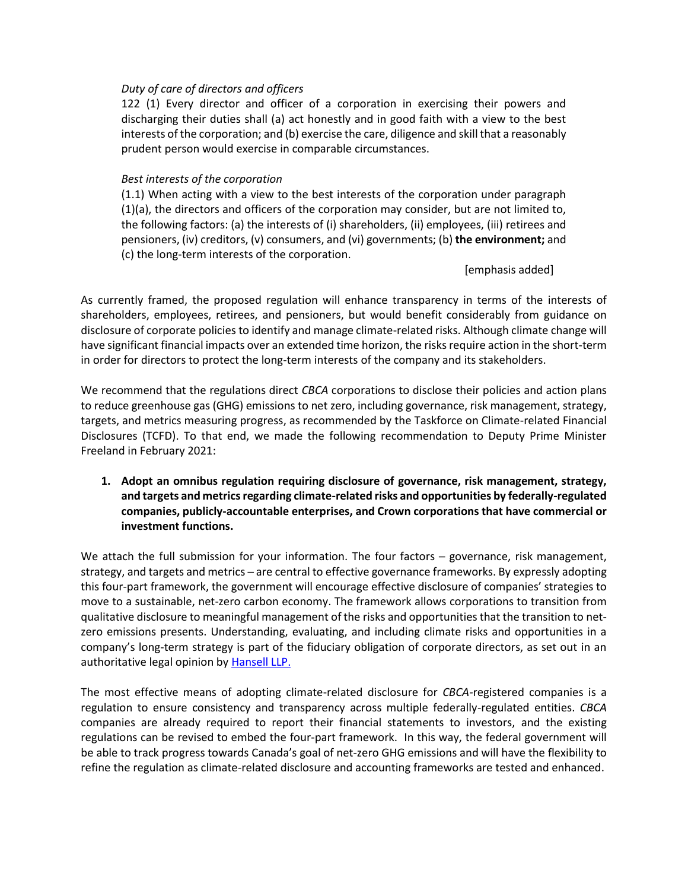## *Duty of care of directors and officers*

122 (1) Every director and officer of a corporation in exercising their powers and discharging their duties shall (a) act honestly and in good faith with a view to the best interests of the corporation; and (b) exercise the care, diligence and skill that a reasonably prudent person would exercise in comparable circumstances.

## *Best interests of the corporation*

(1.1) When acting with a view to the best interests of the corporation under paragraph (1)(a), the directors and officers of the corporation may consider, but are not limited to, the following factors: (a) the interests of (i) shareholders, (ii) employees, (iii) retirees and pensioners, (iv) creditors, (v) consumers, and (vi) governments; (b) **the environment;** and (c) the long-term interests of the corporation.

[emphasis added]

As currently framed, the proposed regulation will enhance transparency in terms of the interests of shareholders, employees, retirees, and pensioners, but would benefit considerably from guidance on disclosure of corporate policies to identify and manage climate-related risks. Although climate change will have significant financial impacts over an extended time horizon, the risks require action in the short-term in order for directors to protect the long-term interests of the company and its stakeholders.

We recommend that the regulations direct *CBCA* corporations to disclose their policies and action plans to reduce greenhouse gas (GHG) emissions to net zero, including governance, risk management, strategy, targets, and metrics measuring progress, as recommended by the Taskforce on Climate-related Financial Disclosures (TCFD). To that end, we made the following recommendation to Deputy Prime Minister Freeland in February 2021:

**1. Adopt an omnibus regulation requiring disclosure of governance, risk management, strategy, and targets and metrics regarding climate-related risks and opportunities by federally-regulated companies, publicly-accountable enterprises, and Crown corporations that have commercial or investment functions.** 

We attach the full submission for your information. The four factors – governance, risk management, strategy, and targets and metrics – are central to effective governance frameworks. By expressly adopting this four-part framework, the government will encourage effective disclosure of companies' strategies to move to a sustainable, net-zero carbon economy. The framework allows corporations to transition from qualitative disclosure to meaningful management of the risks and opportunities that the transition to netzero emissions presents. Understanding, evaluating, and including climate risks and opportunities in a company's long-term strategy is part of the fiduciary obligation of corporate directors, as set out in an authoritative legal opinion by [Hansell LLP.](https://www.hanselladvisory.com/content/uploads/Hansell-Climate-Change-Opinion.pdf)

The most effective means of adopting climate-related disclosure for *CBCA-*registered companies is a regulation to ensure consistency and transparency across multiple federally-regulated entities. *CBCA* companies are already required to report their financial statements to investors, and the existing regulations can be revised to embed the four-part framework. In this way, the federal government will be able to track progress towards Canada's goal of net-zero GHG emissions and will have the flexibility to refine the regulation as climate-related disclosure and accounting frameworks are tested and enhanced.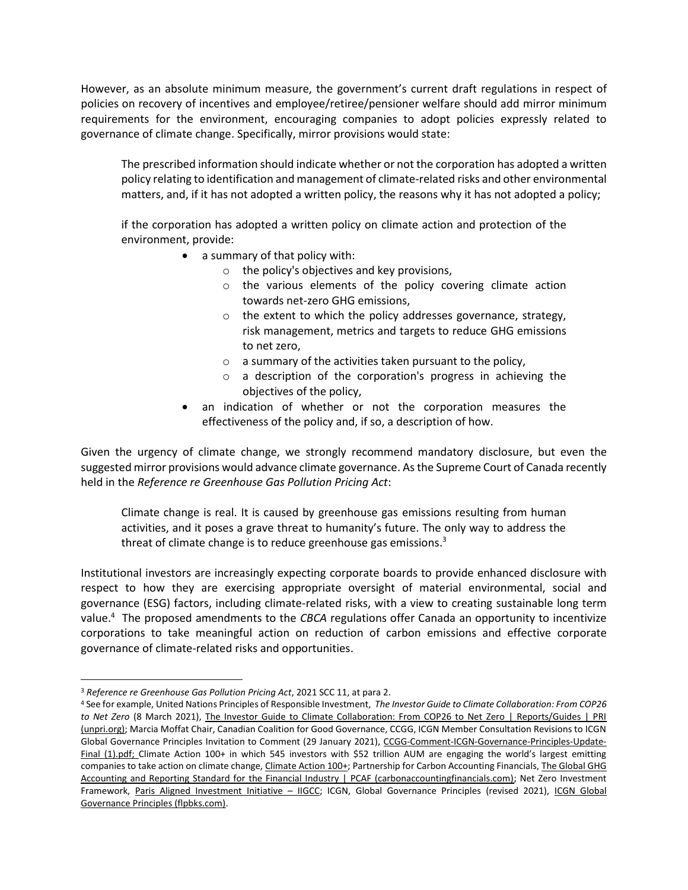However, as an absolute minimum measure, the government's current draft regulations in respect of policies on recovery of incentives and employee/retiree/pensioner welfare should add mirror minimum requirements for the environment, encouraging companies to adopt policies expressly related to governance of climate change. Specifically, mirror provisions would state:

The prescribed information should indicate whether or not the corporation has adopted a written policy relating to identification and management of climate-related risks and other environmental matters, and, if it has not adopted a written policy, the reasons why it has not adopted a policy;

if the corporation has adopted a written policy on climate action and protection of the environment, provide:

- a summary of that policy with:
	- o the policy's objectives and key provisions,
	- o the various elements of the policy covering climate action towards net-zero GHG emissions,
	- o the extent to which the policy addresses governance, strategy, risk management, metrics and targets to reduce GHG emissions to net zero,
	- $\circ$  a summary of the activities taken pursuant to the policy,
	- o a description of the corporation's progress in achieving the objectives of the policy,
	- an indication of whether or not the corporation measures the effectiveness of the policy and, if so, a description of how.

Given the urgency of climate change, we strongly recommend mandatory disclosure, but even the suggested mirror provisions would advance climate governance. As the Supreme Court of Canada recently held in the *Reference re Greenhouse Gas Pollution Pricing Act*:

Climate change is real. It is caused by greenhouse gas emissions resulting from human activities, and it poses a grave threat to humanity's future. The only way to address the threat of climate change is to reduce greenhouse gas emissions.<sup>3</sup>

Institutional investors are increasingly expecting corporate boards to provide enhanced disclosure with respect to how they are exercising appropriate oversight of material environmental, social and governance (ESG) factors, including climate-related risks, with a view to creating sustainable long term value.<sup>4</sup> The proposed amendments to the *CBCA* regulations offer Canada an opportunity to incentivize corporations to take meaningful action on reduction of carbon emissions and effective corporate governance of climate-related risks and opportunities.

<sup>3</sup> *Reference re Greenhouse Gas Pollution Pricing Act*, 2021 SCC 11, at para 2.

<sup>4</sup> See for example, United Nations Principles of Responsible Investment, *The Investor Guide to Climate Collaboration: From COP26*  to Net Zero (8 March 2021), The Investor Guide to Climate Collaboration: From COP26 to Net Zero | Reports/Guides | PRI [\(unpri.org\);](https://www.unpri.org/climate-change/the-investor-guide-to-climate-collaboration-from-cop26-to-net-zero/7236.article) Marcia Moffat Chair, Canadian Coalition for Good Governance, CCGG, ICGN Member Consultation Revisions to ICGN Global Governance Principles Invitation to Comment (29 January 2021), [CCGG-Comment-ICGN-Governance-Principles-Update-](file:///C:/Users/sarra/Downloads/CCGG-Comment-ICGN-Governance-Principles-Update-Final%20(1).pdf)[Final \(1\).pdf;](file:///C:/Users/sarra/Downloads/CCGG-Comment-ICGN-Governance-Principles-Update-Final%20(1).pdf) Climate Action 100+ in which 545 investors with \$52 trillion AUM are engaging the world's largest emitting companies to take action on climate change, *Climate Action 100+*; Partnership for Carbon Accounting Financials, *The Global GHG* [Accounting and Reporting Standard for the Financial Industry | PCAF \(carbonaccountingfinancials.com\);](https://carbonaccountingfinancials.com/standard) Net Zero Investment Framework, [Paris Aligned Investment Initiative](https://www.iigcc.org/our-work/paris-aligned-investment-initiative/) - IIGCC; ICGN, Global Governance Principles (revised 2021), ICGN Global [Governance Principles \(flpbks.com\).](http://icgn.flpbks.com/icgn-global-governance-principles-2017/#p=10)